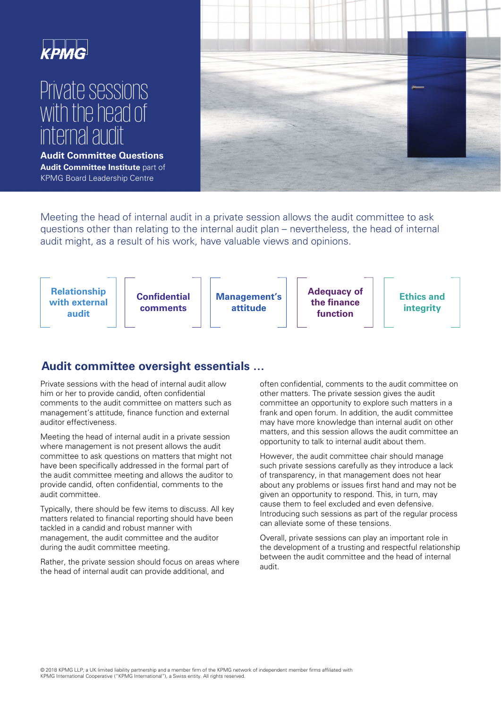

# Private sessions with the head of internal audit

**Audit Committee Questions Audit Committee Institute** part of KPMG Board Leadership Centre



Meeting the head of internal audit in a private session allows the audit committee to ask questions other than relating to the internal audit plan – nevertheless, the head of internal audit might, as a result of his work, have valuable views and opinions.



## **Audit committee oversight essentials …**

Private sessions with the head of internal audit allow him or her to provide candid, often confidential comments to the audit committee on matters such as management's attitude, finance function and external auditor effectiveness.

Meeting the head of internal audit in a private session where management is not present allows the audit committee to ask questions on matters that might not have been specifically addressed in the formal part of the audit committee meeting and allows the auditor to provide candid, often confidential, comments to the audit committee.

Typically, there should be few items to discuss. All key matters related to financial reporting should have been tackled in a candid and robust manner with management, the audit committee and the auditor during the audit committee meeting.

Rather, the private session should focus on areas where the head of internal audit can provide additional, and

often confidential, comments to the audit committee on other matters. The private session gives the audit committee an opportunity to explore such matters in a frank and open forum. In addition, the audit committee may have more knowledge than internal audit on other matters, and this session allows the audit committee an opportunity to talk to internal audit about them.

However, the audit committee chair should manage such private sessions carefully as they introduce a lack of transparency, in that management does not hear about any problems or issues first hand and may not be given an opportunity to respond. This, in turn, may cause them to feel excluded and even defensive. Introducing such sessions as part of the regular process can alleviate some of these tensions.

Overall, private sessions can play an important role in the development of a trusting and respectful relationship between the audit committee and the head of internal audit.